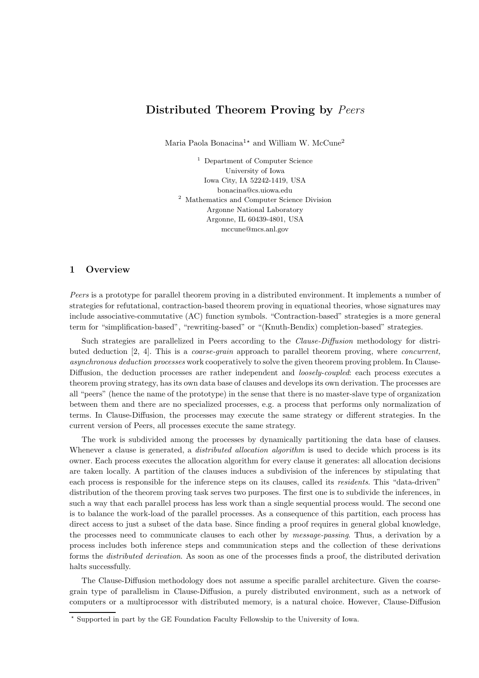# Distributed Theorem Proving by Peers

Maria Paola Bonacina<sup>1</sup><sup>\*</sup> and William W. McCune<sup>2</sup>

<sup>1</sup> Department of Computer Science University of Iowa Iowa City, IA 52242-1419, USA bonacina@cs.uiowa.edu <sup>2</sup> Mathematics and Computer Science Division Argonne National Laboratory Argonne, IL 60439-4801, USA mccune@mcs.anl.gov

## 1 Overview

Peers is a prototype for parallel theorem proving in a distributed environment. It implements a number of strategies for refutational, contraction-based theorem proving in equational theories, whose signatures may include associative-commutative (AC) function symbols. "Contraction-based" strategies is a more general term for "simplification-based", "rewriting-based" or "(Knuth-Bendix) completion-based" strategies.

Such strategies are parallelized in Peers according to the *Clause-Diffusion* methodology for distributed deduction [2, 4]. This is a coarse-grain approach to parallel theorem proving, where concurrent, asynchronous deduction processes work cooperatively to solve the given theorem proving problem. In Clause-Diffusion, the deduction processes are rather independent and *loosely-coupled*: each process executes a theorem proving strategy, has its own data base of clauses and develops its own derivation. The processes are all "peers" (hence the name of the prototype) in the sense that there is no master-slave type of organization between them and there are no specialized processes, e.g. a process that performs only normalization of terms. In Clause-Diffusion, the processes may execute the same strategy or different strategies. In the current version of Peers, all processes execute the same strategy.

The work is subdivided among the processes by dynamically partitioning the data base of clauses. Whenever a clause is generated, a *distributed allocation algorithm* is used to decide which process is its owner. Each process executes the allocation algorithm for every clause it generates: all allocation decisions are taken locally. A partition of the clauses induces a subdivision of the inferences by stipulating that each process is responsible for the inference steps on its clauses, called its residents. This "data-driven" distribution of the theorem proving task serves two purposes. The first one is to subdivide the inferences, in such a way that each parallel process has less work than a single sequential process would. The second one is to balance the work-load of the parallel processes. As a consequence of this partition, each process has direct access to just a subset of the data base. Since finding a proof requires in general global knowledge, the processes need to communicate clauses to each other by message-passing. Thus, a derivation by a process includes both inference steps and communication steps and the collection of these derivations forms the distributed derivation. As soon as one of the processes finds a proof, the distributed derivation halts successfully.

The Clause-Diffusion methodology does not assume a specific parallel architecture. Given the coarsegrain type of parallelism in Clause-Diffusion, a purely distributed environment, such as a network of computers or a multiprocessor with distributed memory, is a natural choice. However, Clause-Diffusion

<sup>⋆</sup> Supported in part by the GE Foundation Faculty Fellowship to the University of Iowa.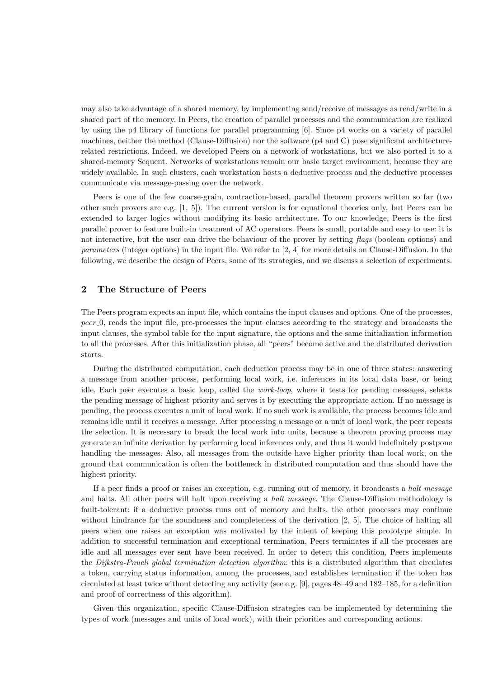may also take advantage of a shared memory, by implementing send/receive of messages as read/write in a shared part of the memory. In Peers, the creation of parallel processes and the communication are realized by using the p4 library of functions for parallel programming [6]. Since p4 works on a variety of parallel machines, neither the method (Clause-Diffusion) nor the software (p4 and C) pose significant architecturerelated restrictions. Indeed, we developed Peers on a network of workstations, but we also ported it to a shared-memory Sequent. Networks of workstations remain our basic target environment, because they are widely available. In such clusters, each workstation hosts a deductive process and the deductive processes communicate via message-passing over the network.

Peers is one of the few coarse-grain, contraction-based, parallel theorem provers written so far (two other such provers are e.g. [1, 5]). The current version is for equational theories only, but Peers can be extended to larger logics without modifying its basic architecture. To our knowledge, Peers is the first parallel prover to feature built-in treatment of AC operators. Peers is small, portable and easy to use: it is not interactive, but the user can drive the behaviour of the prover by setting flags (boolean options) and parameters (integer options) in the input file. We refer to [2, 4] for more details on Clause-Diffusion. In the following, we describe the design of Peers, some of its strategies, and we discuss a selection of experiments.

#### 2 The Structure of Peers

The Peers program expects an input file, which contains the input clauses and options. One of the processes, peer 0, reads the input file, pre-processes the input clauses according to the strategy and broadcasts the input clauses, the symbol table for the input signature, the options and the same initialization information to all the processes. After this initialization phase, all "peers" become active and the distributed derivation starts.

During the distributed computation, each deduction process may be in one of three states: answering a message from another process, performing local work, i.e. inferences in its local data base, or being idle. Each peer executes a basic loop, called the work-loop, where it tests for pending messages, selects the pending message of highest priority and serves it by executing the appropriate action. If no message is pending, the process executes a unit of local work. If no such work is available, the process becomes idle and remains idle until it receives a message. After processing a message or a unit of local work, the peer repeats the selection. It is necessary to break the local work into units, because a theorem proving process may generate an infinite derivation by performing local inferences only, and thus it would indefinitely postpone handling the messages. Also, all messages from the outside have higher priority than local work, on the ground that communication is often the bottleneck in distributed computation and thus should have the highest priority.

If a peer finds a proof or raises an exception, e.g. running out of memory, it broadcasts a halt message and halts. All other peers will halt upon receiving a halt message. The Clause-Diffusion methodology is fault-tolerant: if a deductive process runs out of memory and halts, the other processes may continue without hindrance for the soundness and completeness of the derivation [2, 5]. The choice of halting all peers when one raises an exception was motivated by the intent of keeping this prototype simple. In addition to successful termination and exceptional termination, Peers terminates if all the processes are idle and all messages ever sent have been received. In order to detect this condition, Peers implements the Dijkstra-Pnueli global termination detection algorithm: this is a distributed algorithm that circulates a token, carrying status information, among the processes, and establishes termination if the token has circulated at least twice without detecting any activity (see e.g. [9], pages 48–49 and 182–185, for a definition and proof of correctness of this algorithm).

Given this organization, specific Clause-Diffusion strategies can be implemented by determining the types of work (messages and units of local work), with their priorities and corresponding actions.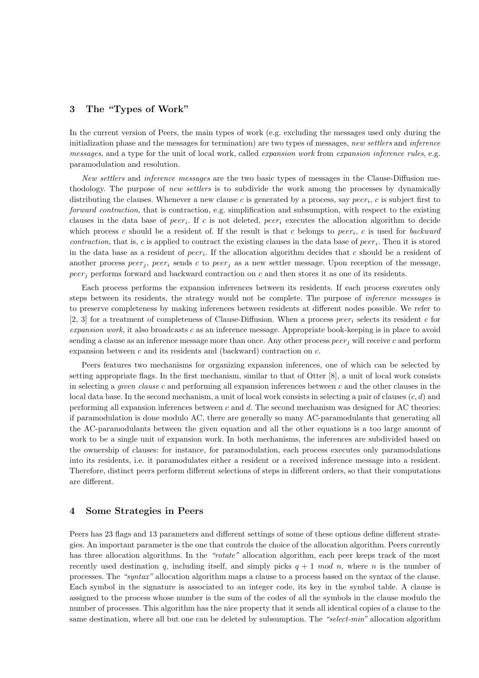#### 3 The "Types of Work"

In the current version of Peers, the main types of work (e.g. excluding the messages used only during the initialization phase and the messages for termination) are two types of messages, new settlers and inference messages, and a type for the unit of local work, called expansion work from expansion inference rules, e.g. paramodulation and resolution.

New settlers and inference messages are the two basic types of messages in the Clause-Diffusion methodology. The purpose of new settlers is to subdivide the work among the processes by dynamically distributing the clauses. Whenever a new clause  $c$  is generated by a process, say  $peer_i$ ,  $c$  is subject first to forward contraction, that is contraction, e.g. simplification and subsumption, with respect to the existing clauses in the data base of  $peer_i$ . If c is not deleted,  $peer_i$  executes the allocation algorithm to decide which process c should be a resident of. If the result is that c belongs to  $peer_i$ , c is used for backward *contraction*, that is, c is applied to contract the existing clauses in the data base of  $peer_i$ . Then it is stored in the data base as a resident of  $peer_i$ . If the allocation algorithm decides that c should be a resident of another process  $peer_j$ ,  $peer_i$  sends c to  $peer_j$  as a new settler message. Upon reception of the message,  $peer_i$  performs forward and backward contraction on c and then stores it as one of its residents.

Each process performs the expansion inferences between its residents. If each process executes only steps between its residents, the strategy would not be complete. The purpose of inference messages is to preserve completeness by making inferences between residents at different nodes possible. We refer to [2, 3] for a treatment of completeness of Clause-Diffusion. When a process peer<sub>i</sub> selects its resident c for  $expansion work$ , it also broadcasts  $c$  as an inference message. Appropriate book-keeping is in place to avoid sending a clause as an inference message more than once. Any other process  $peer_i$  will receive c and perform expansion between c and its residents and (backward) contraction on c.

Peers features two mechanisms for organizing expansion inferences, one of which can be selected by setting appropriate flags. In the first mechanism, similar to that of Otter [8], a unit of local work consists in selecting a given clause c and performing all expansion inferences between c and the other clauses in the local data base. In the second mechanism, a unit of local work consists in selecting a pair of clauses  $(c, d)$  and performing all expansion inferences between c and d. The second mechanism was designed for AC theories: if paramodulation is done modulo AC, there are generally so many AC-paramodulants that generating all the AC-paramodulants between the given equation and all the other equations is a too large amount of work to be a single unit of expansion work. In both mechanisms, the inferences are subdivided based on the ownership of clauses: for instance, for paramodulation, each process executes only paramodulations into its residents, i.e. it paramodulates either a resident or a received inference message into a resident. Therefore, distinct peers perform different selections of steps in different orders, so that their computations are different.

#### 4 Some Strategies in Peers

Peers has 23 flags and 13 parameters and different settings of some of these options define different strategies. An important parameter is the one that controls the choice of the allocation algorithm. Peers currently has three allocation algorithms. In the "rotate" allocation algorithm, each peer keeps track of the most recently used destination q, including itself, and simply picks  $q + 1 \mod n$ , where n is the number of processes. The "syntax" allocation algorithm maps a clause to a process based on the syntax of the clause. Each symbol in the signature is associated to an integer code, its key in the symbol table. A clause is assigned to the process whose number is the sum of the codes of all the symbols in the clause modulo the number of processes. This algorithm has the nice property that it sends all identical copies of a clause to the same destination, where all but one can be deleted by subsumption. The "select-min" allocation algorithm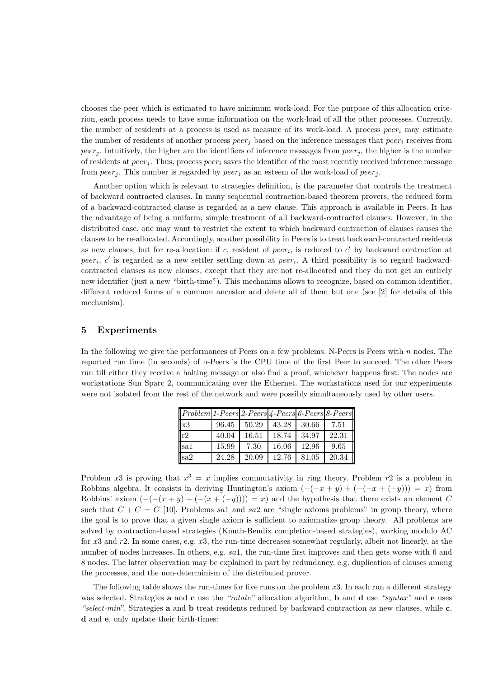chooses the peer which is estimated to have minimum work-load. For the purpose of this allocation criterion, each process needs to have some information on the work-load of all the other processes. Currently, the number of residents at a process is used as measure of its work-load. A process  $peer_i$  may estimate the number of residents of another process  $peer_j$  based on the inference messages that  $peer_i$  receives from peer<sub>j</sub>. Intuitively, the higher are the identifiers of inference messages from  $peer_j$ , the higher is the number of residents at  $peer_i$ . Thus, process  $peer_i$  saves the identifier of the most recently received inference message from  $peer_i$ . This number is regarded by  $peer_i$  as an esteem of the work-load of  $peer_i$ .

Another option which is relevant to strategies definition, is the parameter that controls the treatment of backward contracted clauses. In many sequential contraction-based theorem provers, the reduced form of a backward-contracted clause is regarded as a new clause. This approach is available in Peers. It has the advantage of being a uniform, simple treatment of all backward-contracted clauses. However, in the distributed case, one may want to restrict the extent to which backward contraction of clauses causes the clauses to be re-allocated. Accordingly, another possibility in Peers is to treat backward-contracted residents as new clauses, but for re-allocation: if c, resident of  $peer_i$ , is reduced to  $c'$  by backward contraction at peer<sub>i</sub>, c' is regarded as a new settler settling down at peer<sub>i</sub>. A third possibility is to regard backwardcontracted clauses as new clauses, except that they are not re-allocated and they do not get an entirely new identifier (just a new "birth-time"). This mechanims allows to recognize, based on common identifier, different reduced forms of a common ancestor and delete all of them but one (see [2] for details of this mechanism).

#### 5 Experiments

In the following we give the performances of Peers on a few problems. N-Peers is Peers with n nodes. The reported run time (in seconds) of n-Peers is the CPU time of the first Peer to succeed. The other Peers run till either they receive a halting message or also find a proof, whichever happens first. The nodes are workstations Sun Sparc 2, communicating over the Ethernet. The workstations used for our experiments were not isolated from the rest of the network and were possibly simultaneously used by other users.

| $ Problem 1-Peers 2-Peers 4-Peers 6-Peers 8-Peers $ |       |       |       |       |       |
|-----------------------------------------------------|-------|-------|-------|-------|-------|
| x3                                                  | 96.45 | 50.29 | 43.28 | 30.66 | 7.51  |
| r2                                                  | 40.04 | 16.51 | 18.74 | 34.97 | 22.31 |
| sa1                                                 | 15.99 | 7.30  | 16.06 | 12.96 | 9.65  |
| sa2                                                 | 24.28 | 20.09 | 12.76 | 81.05 | 20.34 |

Problem x3 is proving that  $x^3 = x$  implies commutativity in ring theory. Problem  $r^2$  is a problem in Robbins algebra. It consists in deriving Huntington's axiom  $(-(x+y) + (-(x+(y))) = x)$  from Robbins' axiom  $(-(-(x+y)+(-(x+(-y))))=x)$  and the hypothesis that there exists an element C such that  $C + C = C$  [10]. Problems sal and sa2 are "single axioms problems" in group theory, where the goal is to prove that a given single axiom is sufficient to axiomatize group theory. All problems are solved by contraction-based strategies (Knuth-Bendix completion-based strategies), working modulo AC for x3 and r2. In some cases, e.g. x3, the run-time decreases somewhat regularly, albeit not linearly, as the number of nodes increases. In others, e.g. sa1, the run-time first improves and then gets worse with 6 and 8 nodes. The latter observation may be explained in part by redundancy, e.g. duplication of clauses among the processes, and the non-determinism of the distributed prover.

The following table shows the run-times for five runs on the problem x3. In each run a different strategy was selected. Strategies **a** and **c** use the "rotate" allocation algorithm, **b** and **d** use "syntax" and **e** uses "select-min". Strategies **a** and **b** treat residents reduced by backward contraction as new clauses, while  $\mathbf{c}$ , d and e, only update their birth-times: